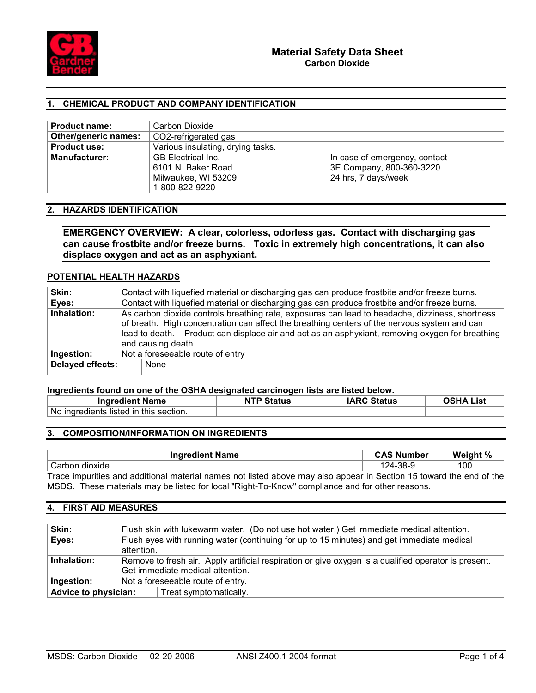

# 1. CHEMICAL PRODUCT AND COMPANY IDENTIFICATION

| <b>Product name:</b> | Carbon Dioxide                                 |                               |  |
|----------------------|------------------------------------------------|-------------------------------|--|
| Other/generic names: | CO2-refrigerated gas                           |                               |  |
| <b>Product use:</b>  | Various insulating, drying tasks.              |                               |  |
| <b>Manufacturer:</b> | <b>GB</b> Electrical Inc.                      | In case of emergency, contact |  |
|                      | 3E Company, 800-360-3220<br>6101 N. Baker Road |                               |  |
|                      | 24 hrs, 7 days/week<br>Milwaukee, WI 53209     |                               |  |
|                      | 1-800-822-9220                                 |                               |  |

### 2. HAZARDS IDENTIFICATION

EMERGENCY OVERVIEW: A clear, colorless, odorless gas. Contact with discharging gas can cause frostbite and/or freeze burns. Toxic in extremely high concentrations, it can also displace oxygen and act as an asphyxiant.

# POTENTIAL HEALTH HAZARDS

| Skin:            | Contact with liquefied material or discharging gas can produce frostbite and/or freeze burns.                                                                                                                                                                                                                            |  |  |
|------------------|--------------------------------------------------------------------------------------------------------------------------------------------------------------------------------------------------------------------------------------------------------------------------------------------------------------------------|--|--|
| Eyes:            | Contact with liquefied material or discharging gas can produce frostbite and/or freeze burns.                                                                                                                                                                                                                            |  |  |
| Inhalation:      | As carbon dioxide controls breathing rate, exposures can lead to headache, dizziness, shortness<br>of breath. High concentration can affect the breathing centers of the nervous system and can<br>lead to death. Product can displace air and act as an asphyxiant, removing oxygen for breathing<br>and causing death. |  |  |
| Ingestion:       | Not a foreseeable route of entry                                                                                                                                                                                                                                                                                         |  |  |
| Delayed effects: | None                                                                                                                                                                                                                                                                                                                     |  |  |

### Ingredients found on one of the OSHA designated carcinogen lists are listed below.

| <b>Ingredient Name</b>                 | <b>Status</b> | <b>IARC Status</b> | OSHA List |
|----------------------------------------|---------------|--------------------|-----------|
| No ingredients listed in this section. |               |                    |           |

# 3. COMPOSITION/INFORMATION ON INGREDIENTS

| <b>Ingredient Name</b>                                                                                              | <b>CAS Number</b> | Weight % |
|---------------------------------------------------------------------------------------------------------------------|-------------------|----------|
| Carbon dioxide                                                                                                      | 124-38-9          | 100      |
| Trace impurities and additional material names not listed above may also appear in Section 15 toward the end of the |                   |          |

MSDS. These materials may be listed for local "Right-To-Know" compliance and for other reasons.

# 4. FIRST AID MEASURES

| Skin:       | Flush skin with lukewarm water. (Do not use hot water.) Get immediate medical attention.             |  |
|-------------|------------------------------------------------------------------------------------------------------|--|
| Eyes:       | Flush eyes with running water (continuing for up to 15 minutes) and get immediate medical            |  |
|             | attention.                                                                                           |  |
| Inhalation: | Remove to fresh air. Apply artificial respiration or give oxygen is a qualified operator is present. |  |
|             |                                                                                                      |  |
|             | Get immediate medical attention.                                                                     |  |
| Ingestion:  | Not a foreseeable route of entry.                                                                    |  |
|             | Advice to physician:<br>Treat symptomatically.                                                       |  |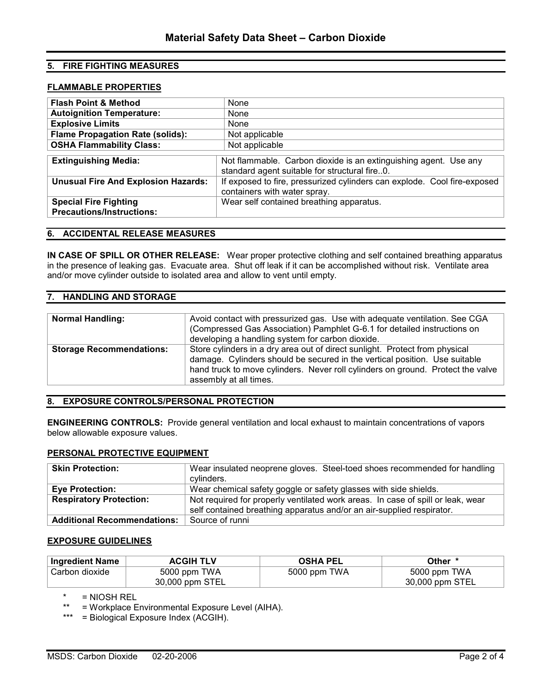# 5. FIRE FIGHTING MEASURES

#### FLAMMABLE PROPERTIES

| <b>Flash Point &amp; Method</b>                                  | <b>None</b>                                                                                                       |  |
|------------------------------------------------------------------|-------------------------------------------------------------------------------------------------------------------|--|
| <b>Autoignition Temperature:</b>                                 | None                                                                                                              |  |
| <b>Explosive Limits</b>                                          | <b>None</b>                                                                                                       |  |
| <b>Flame Propagation Rate (solids):</b>                          | Not applicable                                                                                                    |  |
| <b>OSHA Flammability Class:</b>                                  | Not applicable                                                                                                    |  |
|                                                                  |                                                                                                                   |  |
| <b>Extinguishing Media:</b>                                      | Not flammable. Carbon dioxide is an extinguishing agent. Use any<br>standard agent suitable for structural fire0. |  |
| <b>Unusual Fire And Explosion Hazards:</b>                       | If exposed to fire, pressurized cylinders can explode. Cool fire-exposed<br>containers with water spray.          |  |
| <b>Special Fire Fighting</b><br><b>Precautions/Instructions:</b> | Wear self contained breathing apparatus.                                                                          |  |

### 6. ACCIDENTAL RELEASE MEASURES

IN CASE OF SPILL OR OTHER RELEASE: Wear proper protective clothing and self contained breathing apparatus in the presence of leaking gas. Evacuate area. Shut off leak if it can be accomplished without risk. Ventilate area and/or move cylinder outside to isolated area and allow to vent until empty.

### 7. HANDLING AND STORAGE

| <b>Normal Handling:</b>         | Avoid contact with pressurized gas. Use with adequate ventilation. See CGA<br>(Compressed Gas Association) Pamphlet G-6.1 for detailed instructions on<br>developing a handling system for carbon dioxide.                                                             |
|---------------------------------|------------------------------------------------------------------------------------------------------------------------------------------------------------------------------------------------------------------------------------------------------------------------|
| <b>Storage Recommendations:</b> | Store cylinders in a dry area out of direct sunlight. Protect from physical<br>damage. Cylinders should be secured in the vertical position. Use suitable<br>hand truck to move cylinders. Never roll cylinders on ground. Protect the valve<br>assembly at all times. |

# 8. EXPOSURE CONTROLS/PERSONAL PROTECTION

ENGINEERING CONTROLS: Provide general ventilation and local exhaust to maintain concentrations of vapors below allowable exposure values.

### PERSONAL PROTECTIVE EQUIPMENT

| <b>Skin Protection:</b>            | Wear insulated neoprene gloves. Steel-toed shoes recommended for handling<br>cylinders.                                                                  |  |
|------------------------------------|----------------------------------------------------------------------------------------------------------------------------------------------------------|--|
| <b>Eye Protection:</b>             | Wear chemical safety goggle or safety glasses with side shields.                                                                                         |  |
| <b>Respiratory Protection:</b>     | Not required for properly ventilated work areas. In case of spill or leak, wear<br>self contained breathing apparatus and/or an air-supplied respirator. |  |
|                                    |                                                                                                                                                          |  |
| <b>Additional Recommendations:</b> | Source of runni                                                                                                                                          |  |

### EXPOSURE GUIDELINES

| <b>Ingredient Name</b> | <b>ACGIH TLV</b> | OSHA PEL     | Other *         |
|------------------------|------------------|--------------|-----------------|
| Carbon dioxide         | 5000 ppm TWA     | 5000 ppm TWA | 5000 ppm TWA    |
|                        | 30,000 ppm STEL  |              | 30,000 ppm STEL |

 $=$  NIOSH REL

= Workplace Environmental Exposure Level (AIHA).

\*\*\* = Biological Exposure Index (ACGIH).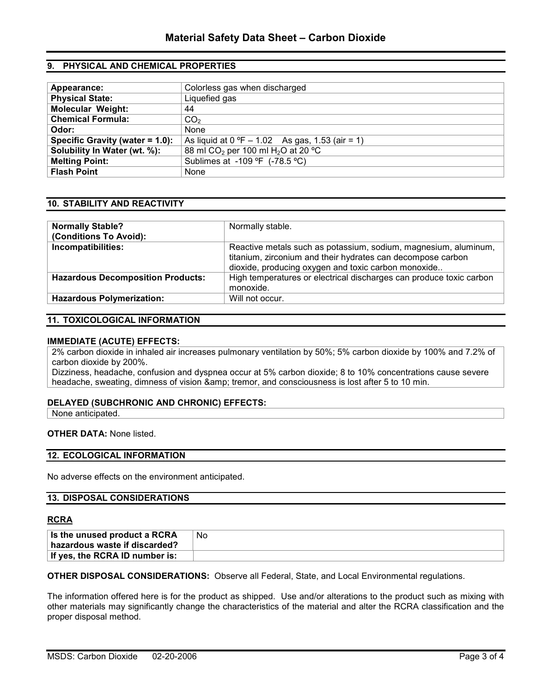# 9. PHYSICAL AND CHEMICAL PROPERTIES

| Appearance:                     | Colorless gas when discharged                              |  |
|---------------------------------|------------------------------------------------------------|--|
| <b>Physical State:</b>          | Liquefied gas                                              |  |
| <b>Molecular Weight:</b>        | 44                                                         |  |
| <b>Chemical Formula:</b>        | CO <sub>2</sub>                                            |  |
| Odor:                           | None                                                       |  |
| Specific Gravity (water = 1.0): | As liquid at $0^{\circ}F - 1.02$ As gas, 1.53 (air = 1)    |  |
| Solubility In Water (wt. %):    | 88 ml CO <sub>2</sub> per 100 ml H <sub>2</sub> O at 20 °C |  |
| <b>Melting Point:</b>           | Sublimes at -109 °F (-78.5 °C)                             |  |
| <b>Flash Point</b>              | None                                                       |  |

# 10. STABILITY AND REACTIVITY

| <b>Normally Stable?</b><br>(Conditions To Avoid): | Normally stable.                                                                                                                                                                      |
|---------------------------------------------------|---------------------------------------------------------------------------------------------------------------------------------------------------------------------------------------|
| Incompatibilities:                                | Reactive metals such as potassium, sodium, magnesium, aluminum,<br>titanium, zirconium and their hydrates can decompose carbon<br>dioxide, producing oxygen and toxic carbon monoxide |
| <b>Hazardous Decomposition Products:</b>          | High temperatures or electrical discharges can produce toxic carbon<br>monoxide.                                                                                                      |
| <b>Hazardous Polymerization:</b>                  | Will not occur.                                                                                                                                                                       |

# 11. TOXICOLOGICAL INFORMATION

#### IMMEDIATE (ACUTE) EFFECTS:

2% carbon dioxide in inhaled air increases pulmonary ventilation by 50%; 5% carbon dioxide by 100% and 7.2% of carbon dioxide by 200%.

Dizziness, headache, confusion and dyspnea occur at 5% carbon dioxide; 8 to 10% concentrations cause severe headache, sweating, dimness of vision & amp; tremor, and consciousness is lost after 5 to 10 min.

### DELAYED (SUBCHRONIC AND CHRONIC) EFFECTS:

None anticipated.

### OTHER DATA: None listed.

### 12. ECOLOGICAL INFORMATION

No adverse effects on the environment anticipated.

### 13. DISPOSAL CONSIDERATIONS

### **RCRA**

| Is the unused product a RCRA<br>∣ hazardous waste if discarded? | <b>No</b> |
|-----------------------------------------------------------------|-----------|
| If yes, the RCRA ID number is:                                  |           |

OTHER DISPOSAL CONSIDERATIONS: Observe all Federal, State, and Local Environmental regulations.

The information offered here is for the product as shipped. Use and/or alterations to the product such as mixing with other materials may significantly change the characteristics of the material and alter the RCRA classification and the proper disposal method.